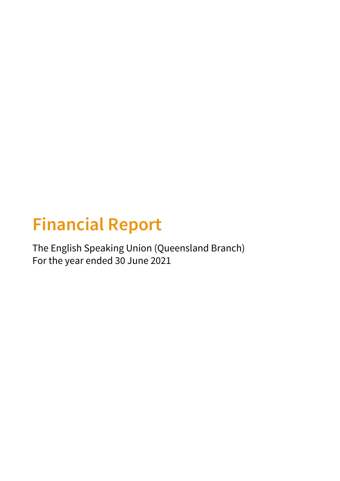# **Financial Report**

The English Speaking Union (Queensland Branch) For the year ended 30 June 2021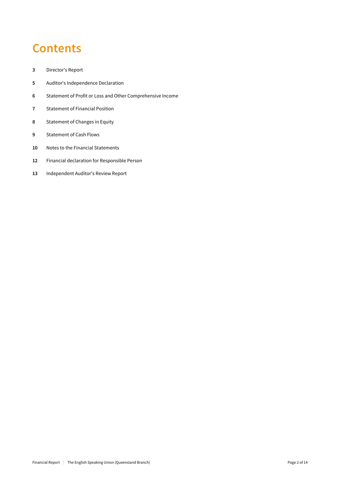## **Contents**

- Director's Report
- Auditor's Independence Declaration
- Statement of Profit or Loss and Other Comprehensive Income
- Statement of Financial Position
- Statement of Changes in Equity
- Statement of Cash Flows
- Notes to the Financial Statements
- Financial declaration for Responsible Person
- Independent Auditor's Review Report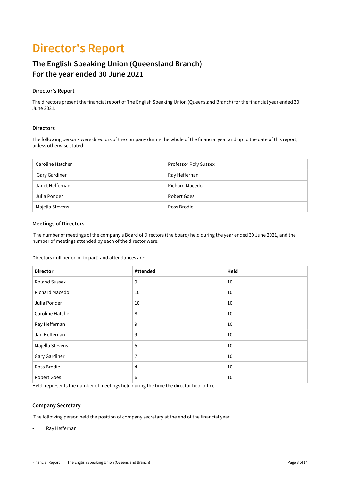## **Director's Report**

### **The English Speaking Union (Queensland Branch) For the year ended 30 June 2021**

### **Director's Report**

The directors present the financial report of The English Speaking Union (Queensland Branch) for the financial year ended 30 June 2021.

### **Directors**

The following persons were directors of the company during the whole of the financial year and up to the date of this report, unless otherwise stated:

| Caroline Hatcher | Professor Roly Sussex |
|------------------|-----------------------|
| Gary Gardiner    | Ray Heffernan         |
| Janet Heffernan  | Richard Macedo        |
| Julia Ponder     | Robert Goes           |
| Majella Stevens  | Ross Brodie           |

### **Meetings of Directors**

 The number of meetings of the company's Board of Directors (the board) held during the year ended 30 June 2021, and the number of meetings attended by each of the director were:

Directors (full period or in part) and attendances are:

| <b>Director</b>      | <b>Attended</b> | Held |
|----------------------|-----------------|------|
| <b>Roland Sussex</b> | 9               | 10   |
| Richard Macedo       | 10              | 10   |
| Julia Ponder         | 10              | 10   |
| Caroline Hatcher     | 8               | 10   |
| Ray Heffernan        | 9               | 10   |
| Jan Heffernan        | 9               | 10   |
| Majella Stevens      | 5               | 10   |
| Gary Gardiner        | 7               | 10   |
| Ross Brodie          | 4               | 10   |
| Robert Goes          | 6               | 10   |

Held: represents the number of meetings held during the time the director held office.

### **Company Secretary**

The following person held the position of company secretary at the end of the financial year.

• Ray Heffernan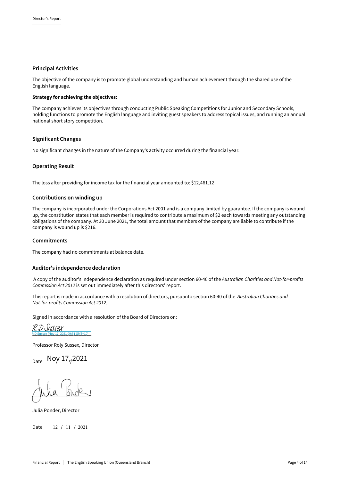#### **Principal Activities**

The objective of the company is to promote global understanding and human achievement through the shared use of the English language.

### Strategy for achieving the objectives:

The company achieves its objectives through conducting Public Speaking Competitions for Junior and Secondary Schools, holding functions to promote the English language and inviting guest speakers to address topical issues, and running an annual national short story competition.

#### **Significant Changes**

No significant changes in the nature of the Company's activity occurred during the financial year.

#### **Operating Result**

The loss after providing for income tax for the financial year amounted to: \$12,461.12

### **Contributions on windingup**

The company is incorporated under the Corporations Act 2001 and is a company limited by guarantee. If the company is wound up, the constitution states that each member is required to contribute a maximum of \$2 each towards meeting any outstanding obligations of the company. At 30 June 2021, the total amount that members of the company are liable to contribute if the company is wound up is \$216.

### **Commitments**

The company had no commitments at balance date.

### **Auditor's independence declaration**

 A copy of the auditor's independence declaration as required under section 60-40 of the *Australian Charities and Not-for-profits Commssion Act 2012* is set out immediately after this directors' report.

This report is made in accordance with a resolution of directors, pursuanto section 60-40 of the *Australian Charities and Not-for-profits Commssion Act 2012.*

Signed in accordance with a resolution of the Board of Directors on:

R.D Sussex (Nov 17, 2021 09:51 GMT+10) R.D Sussex

Professor Roly Sussex, Director

 $_{\textsf{Date}}$  Noy 17, 2021

 $\sqrt{2}$ 

Julia Ponder, Director

Date 12 / 11 / 2021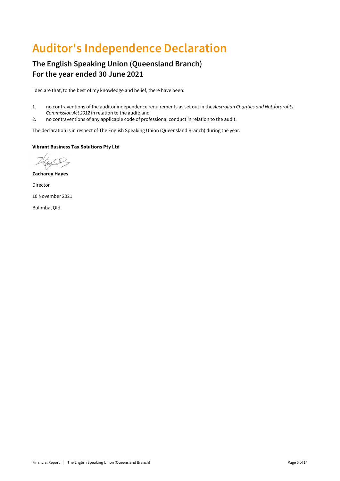## **Auditor's Independence Declaration**

### **The English Speaking Union (Queensland Branch) For the year ended 30 June 2021**

I declare that, to the best of my knowledge and belief, there have been:

- 1. no contraventions of the auditor independence requirements as set out in the *Australian Charities and Not-forprofits Commission Act 2012* in relation to the audit; and
- 2. no contraventions of any applicable code of professional conduct in relation to the audit.

The declaration is in respect of The English Speaking Union (Queensland Branch) during the year.

### Vibrant Business Tax Solutions Pty Ltd

Zacharey Hayes Director 10 November 2021 Bulimba, Qld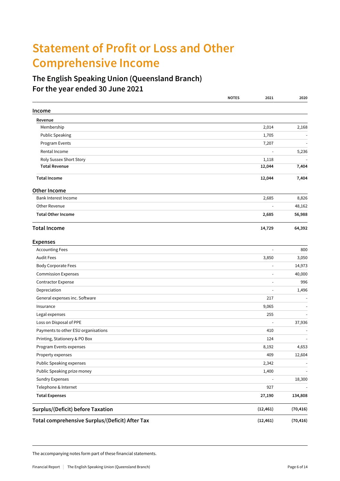## **Statement of Profit or Loss and Other Comprehensive Income**

### **The English Speaking Union (Queensland Branch) For the year ended 30 June 2021**

|                                                 | <b>NOTES</b><br>2021 | 2020                     |
|-------------------------------------------------|----------------------|--------------------------|
| Income                                          |                      |                          |
| Revenue                                         |                      |                          |
| Membership                                      | 2,014                | 2,168                    |
| <b>Public Speaking</b>                          | 1,705                |                          |
| Program Events                                  | 7,207                |                          |
| Rental Income                                   |                      | 5,236                    |
| Roly Sussex Short Story                         | 1,118                |                          |
| <b>Total Revenue</b>                            | 12,044               | 7,404                    |
| <b>Total Income</b>                             | 12,044               | 7,404                    |
| Other Income                                    |                      |                          |
| Bank Interest Income                            | 2,685                | 8,826                    |
| Other Revenue                                   |                      | 48,162<br>$\overline{a}$ |
| <b>Total Other Income</b>                       | 2,685                | 56,988                   |
| <b>Total Income</b>                             | 14,729               | 64,392                   |
| <b>Expenses</b>                                 |                      |                          |
| <b>Accounting Fees</b>                          |                      | 800<br>$\blacksquare$    |
| <b>Audit Fees</b>                               | 3,850                | 3,050                    |
| <b>Body Corporate Fees</b>                      |                      | 14,973<br>Ē,             |
| <b>Commission Expenses</b>                      |                      | 40,000                   |
| <b>Contractor Expense</b>                       |                      | 996                      |
| Depreciation                                    |                      | 1,496<br>$\sim$          |
| General expenses inc. Software                  |                      | 217                      |
| Insurance                                       | 9,065                |                          |
| Legal expenses                                  |                      | 255                      |
| Loss on Disposal of PPE                         |                      | 37,936<br>L,             |
| Payments to other ESU organisations             |                      | 410                      |
| Printing, Stationery & PO Box                   |                      | 124                      |
| Program Events expenses                         | 8,192                | 4,653                    |
| Property expenses                               |                      | 409<br>12,604            |
| <b>Public Speaking expenses</b>                 | 2,342                |                          |
| Public Speaking prize money                     | 1,400                |                          |
| <b>Sundry Expenses</b>                          |                      | 18,300                   |
| Telephone & Internet                            |                      | 927                      |
| <b>Total Expenses</b>                           | 27,190               | 134,808                  |
| Surplus/(Deficit) before Taxation               | (12, 461)            | (70, 416)                |
| Total comprehensive Surplus/(Deficit) After Tax | (12, 461)            | (70, 416)                |

The accompanying notes form part of these financial statements.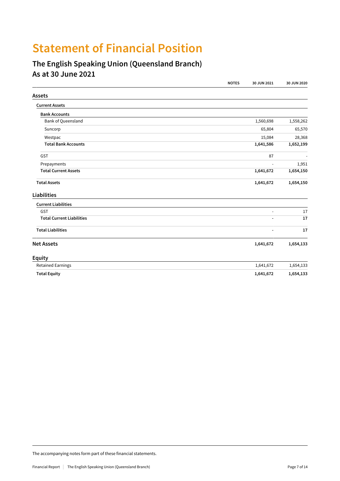## **Statement of Financial Position**

### **The English Speaking Union (Queensland Branch) As at 30 June 2021**

|                                  | <b>NOTES</b> | 30 JUN 2021              | 30 JUN 2020 |
|----------------------------------|--------------|--------------------------|-------------|
| <b>Assets</b>                    |              |                          |             |
| <b>Current Assets</b>            |              |                          |             |
| <b>Bank Accounts</b>             |              |                          |             |
| Bank of Queensland               |              | 1,560,698                | 1,558,262   |
| Suncorp                          |              | 65,804                   | 65,570      |
| Westpac                          |              | 15,084                   | 28,368      |
| <b>Total Bank Accounts</b>       |              | 1,641,586                | 1,652,199   |
| <b>GST</b>                       |              | 87                       |             |
| Prepayments                      |              | ÷,                       | 1,951       |
| <b>Total Current Assets</b>      |              | 1,641,672                | 1,654,150   |
| <b>Total Assets</b>              |              | 1,641,672                | 1,654,150   |
| <b>Liabilities</b>               |              |                          |             |
| <b>Current Liabilities</b>       |              |                          |             |
| GST                              |              | ÷                        | 17          |
| <b>Total Current Liabilities</b> |              | $\overline{\phantom{a}}$ | 17          |
| <b>Total Liabilities</b>         |              |                          | 17          |
| <b>Net Assets</b>                |              | 1,641,672                | 1,654,133   |
| <b>Equity</b>                    |              |                          |             |
| <b>Retained Earnings</b>         |              | 1,641,672                | 1,654,133   |
| <b>Total Equity</b>              |              | 1,641,672                | 1,654,133   |

The accompanying notes form part of these financial statements.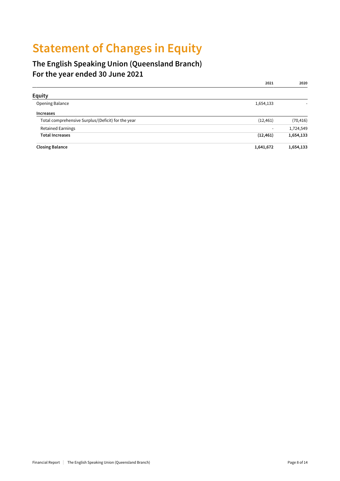## **Statement of Changes in Equity**

### **The English Speaking Union (Queensland Branch) For the year ended 30 June 2021**

|                                                    | 2021                     | 2020      |
|----------------------------------------------------|--------------------------|-----------|
| <b>Equity</b>                                      |                          |           |
| Opening Balance                                    | 1,654,133                |           |
| <b>Increases</b>                                   |                          |           |
| Total comprehensive Surplus/(Deficit) for the year | (12, 461)                | (70, 416) |
| <b>Retained Earnings</b>                           | $\overline{\phantom{0}}$ | 1,724,549 |
| <b>Total Increases</b>                             | (12, 461)                | 1,654,133 |
| <b>Closing Balance</b>                             | 1,641,672                | 1,654,133 |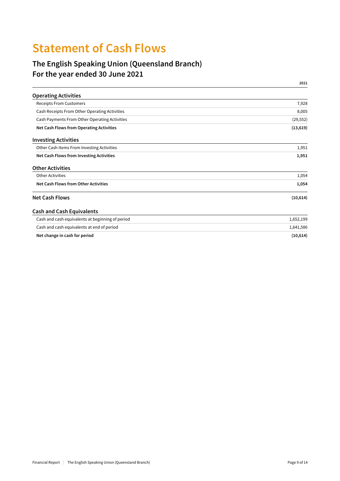## **Statement of Cash Flows**

### **The English Speaking Union (Queensland Branch) For the year ended 30 June 2021**

|                                                  | 2021      |
|--------------------------------------------------|-----------|
| <b>Operating Activities</b>                      |           |
| <b>Receipts From Customers</b>                   | 7,928     |
| Cash Receipts From Other Operating Activities    | 8,005     |
| Cash Payments From Other Operating Activities    | (29, 552) |
| Net Cash Flows from Operating Activities         | (13, 619) |
| <b>Investing Activities</b>                      |           |
| Other Cash Items From Investing Activities       | 1,951     |
| Net Cash Flows from Investing Activities         | 1,951     |
| <b>Other Activities</b>                          |           |
| <b>Other Activities</b>                          | 1,054     |
| Net Cash Flows from Other Activities             | 1,054     |
| <b>Net Cash Flows</b>                            | (10, 614) |
| <b>Cash and Cash Equivalents</b>                 |           |
| Cash and cash equivalents at beginning of period | 1,652,199 |
| Cash and cash equivalents at end of period       | 1,641,586 |
| Net change in cash for period                    | (10, 614) |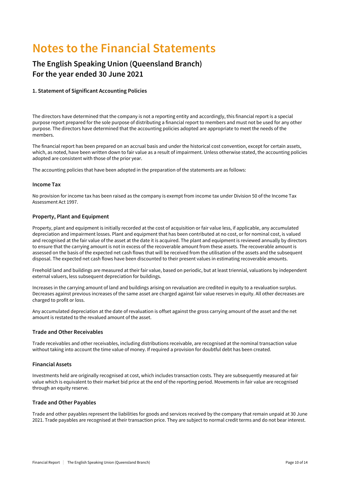## **Notes to the Financial Statements**

### **The English Speaking Union (Queensland Branch) For the year ended 30 June 2021**

### **1. Statement of Significant Accounting Policies**

The directors have determined that the company is not a reporting entity and accordingly, this financial report is a special purpose report prepared for the sole purpose of distributing a financial report to members and must not be used for any other purpose. The directors have determined that the accounting policies adopted are appropriate to meet the needs of the members.

The financial report has been prepared on an accrual basis and under the historical cost convention, except for certain assets, which, as noted, have been written down to fair value as a result of impairment. Unless otherwise stated, the accounting policies adopted are consistent with those of the prior year.

The accounting policies that have been adopted in the preparation of the statements are as follows:

### **Income Tax**

No provision for income tax has been raised as the company is exempt from income tax under Division 50 of the Income Tax Assessment Act 1997.

### **Property, Plant and Equipment**

Property, plant and equipment is initially recorded at the cost of acquisition or fair value less, if applicable, any accumulated depreciation and impairment losses. Plant and equipment that has been contributed at no cost, or for nominal cost, is valued and recognised at the fair value of the asset at the date it is acquired. The plant and equipment is reviewed annually by directors to ensure that the carrying amount is not in excess of the recoverable amount from these assets. The recoverable amount is assessed on the basis of the expected net cash flows that will be received from the utilisation of the assets and the subsequent disposal. The expected net cash flows have been discounted to their present values in estimating recoverable amounts.

Freehold land and buildings are measured at their fair value, based on periodic, but at least triennial, valuations by independent external valuers, less subsequent depreciation for buildings.

Increases in the carrying amount of land and buildings arising on revaluation are credited in equity to a revaluation surplus. Decreases against previous increases of the same asset are charged against fair value reserves in equity. All other decreases are charged to profit or loss.

Any accumulated depreciation at the date of revaluation is offset against the gross carrying amount of the asset and the net amount is restated to the revalued amount of the asset.

### **Trade and Other Receivables**

Trade receivables and other receivables, including distributions receivable, are recognised at the nominal transaction value without taking into account the time value of money. If required a provision for doubtful debt has been created.

#### **Financial Assets**

Investments held are originally recognised at cost, which includes transaction costs. They are subsequently measured at fair value which is equivalent to their market bid price at the end of the reporting period. Movements in fair value are recognised through an equity reserve.

#### **Trade and Other Payables**

Trade and other payables represent the liabilities for goods and services received by the company that remain unpaid at 30 June 2021. Trade payables are recognised at their transaction price. They are subject to normal credit terms and do not bear interest.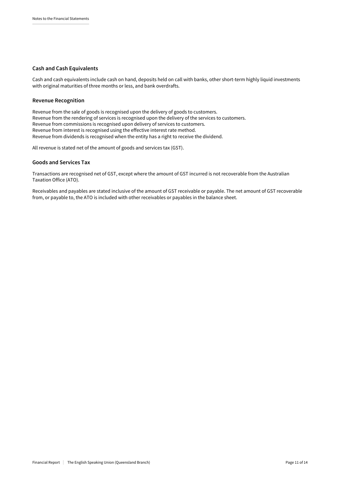#### **Cash and Cash Equivalents**

Cash and cash equivalents include cash on hand, deposits held on call with banks, other short-term highly liquid investments with original maturities of three months or less, and bank overdrafts.

#### **Revenue Recognition**

Revenue from the sale of goods is recognised upon the delivery of goods to customers. Revenue from the rendering of services is recognised upon the delivery of the services to customers. Revenue from commissions is recognised upon delivery of services to customers. Revenue from interest is recognised using the effective interest rate method. Revenue from dividends is recognised when the entity has a right to receive the dividend.

All revenue is stated net of the amount of goods and services tax (GST).

### **Goods and Services Tax**

Transactions are recognised net of GST, except where the amount of GST incurred is not recoverable from the Australian Taxation Office (ATO).

Receivables and payables are stated inclusive of the amount of GST receivable or payable. The net amount of GST recoverable from, or payable to, the ATO is included with other receivables or payables in the balance sheet.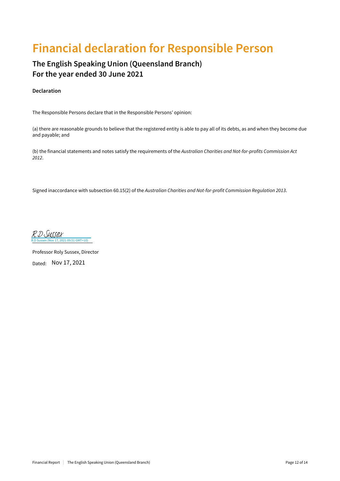## **Financial declaration for Responsible Person**

### **The English Speaking Union (Queensland Branch) For the year ended 30 June 2021**

### **Declaration**

The Responsible Persons declare that in the Responsible Persons' opinion:

(a) there are reasonable grounds to believe that the registered entity is able to pay all of its debts, as and when they become due and payable; and

(b) the financial statements and notes satisfy the requirements of the *Australian Charities and Not-for-profits Commission Act 2012*.

Signed inaccordance with subsection 60.15(2) of the *Australian Charities and Not-for-profit Commission Regulation 2013*.

21 09:51 GMT+10) [R.D Sussex](https://secure.au1.adobesign.com/verifier?tx=CBJCHBCAABAAdu0Kdxk2AR_XXogMfksRAUrjRI9lx1-z)

Professor Roly Sussex, Director Dated: Nov 17, 2021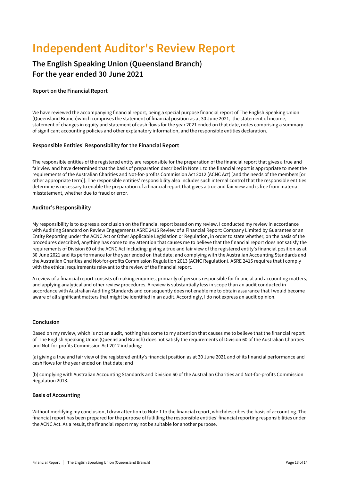## **Independent Auditor's Review Report**

### **The English Speaking Union (Queensland Branch) For the year ended 30 June 2021**

### **Report on the Financial Report**

We have reviewed the accompanying financial report, being a special purpose financial report of The English Speaking Union (Queensland Branch)which comprises the statement of financial position as at 30 June 2021, the statement of income, statement of changes in equity and statement of cash flows for the year 2021 ended on that date, notes comprising a summary of significant accounting policies and other explanatory information, and the responsible entities declaration.

### **Responsible Entities' Responsibility for the Financial Report**

The responsible entities of the registered entity are responsible for the preparation of the financial report that gives a true and fair view and have determined that the basis of preparation described in Note 1 to the financial report is appropriate to meet the requirements of the Australian Charities and Not-for-profits Commission Act 2012 (ACNC Act) [and the needs of the members [or other appropriate term]]. The responsible entities' responsibility also includes such internal control that the responsible entities determine is necessary to enable the preparation of a financial report that gives a true and fair view and is free from material misstatement, whether due to fraud or error.

### **Auditor's Responsibility**

My responsibility is to express a conclusion on the financial report based on my review. I conducted my review in accordance with Auditing Standard on Review Engagements ASRE 2415 Review of a Financial Report: Company Limited by Guarantee or an Entity Reporting under the ACNC Act or Other Applicable Legislation or Regulation, in order to state whether, on the basis of the procedures described, anything has come to my attention that causes me to believe that the financial report does not satisfy the requirements of Division 60 of the ACNC Act including: giving a true and fair view of the registered entity's financial position as at 30 June 2021 and its performance for the year ended on that date; and complying with the Australian Accounting Standards and the Australian Charities and Not-for-profits Commission Regulation 2013 (ACNC Regulation). ASRE 2415 requires that I comply with the ethical requirements relevant to the review of the financial report.

A review of a financial report consists of making enquiries, primarily of persons responsible for financial and accounting matters, and applying analytical and other review procedures. A review is substantially less in scope than an audit conducted in accordance with Australian Auditing Standards and consequently does not enable me to obtain assurance that I would become aware of all significant matters that might be identified in an audit. Accordingly, I do not express an audit opinion.

### **Conclusion**

Based on my review, which is not an audit, nothing has come to my attention that causes me to believe that the financial report of The English Speaking Union (Queensland Branch) does not satisfy the requirements of Division 60 of the Australian Charities and Not-for-profits Commission Act 2012 including:

(a) giving a true and fair view of the registered entity's financial position as at 30 June 2021 and of its financial performance and cash flows for the year ended on that date; and

(b) complying with Australian Accounting Standards and Division 60 of the Australian Charities and Not-for-profits Commission Regulation 2013.

### **Basis of Accounting**

Without modifying my conclusion, I draw attention to Note 1 to the financial report, whichdescribes the basis of accounting. The financial report has been prepared for the purpose of fulfilling the responsible entities' financial reporting responsibilities under the ACNC Act. As a result, the financial report may not be suitable for another purpose.